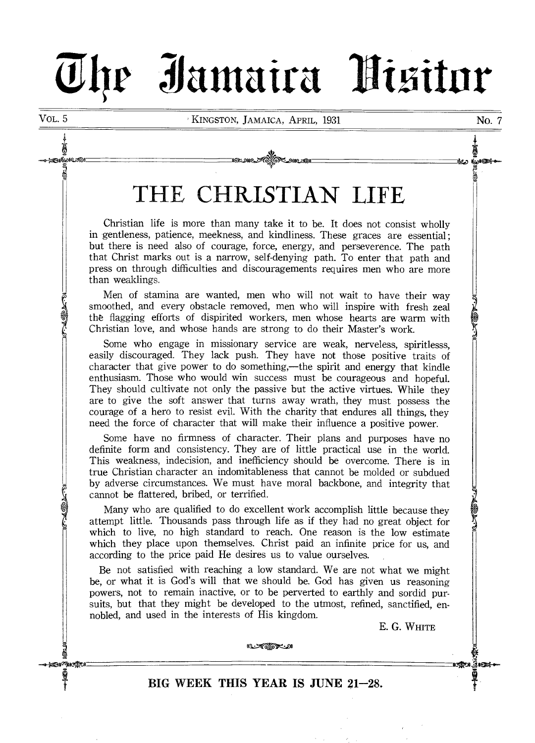# **Aifiamaira thitur**

ľ **ت ان ان کارون** 

 $\frac{1}{2}$ 

⊜เ∿ัพ⊙‱ีวเ

# THE CHRISTIAN LIFE

 $\setlength{\unitlength}{3pt} \begin{picture}(180,190)(-190,0){\line(1,0){100}} \put(190,190){\line(1,0){100}} \put(190,190){\line(1,0){100}} \put(190,190){\line(1,0){100}} \put(190,190){\line(1,0){100}} \put(190,190){\line(1,0){100}} \put(190,190){\line(1,0){100}} \put(190,190){\line(1,0){100}} \put(190,190){\line(1,0){100}} \put($ 

Christian life is more than many take it to be. It does not consist wholly in gentleness, patience, meekness, and kindliness. These graces are essential ; but there is need also of courage, force, energy, and perseverence. The path that Christ marks out is a narrow, self-denying path. To enter that path and press on through difficulties and discouragements requires men who are more than weaklings.

Men of stamina are wanted, men who will not wait to have their way smoothed, and every obstacle removed, men who will inspire with fresh zeal the flagging efforts of dispirited workers, men whose hearts are warm with Christian love, and whose hands are strong to do their Master's work.

Some who engage in missionary service are weak, nerveless, spiritlesss, easily discouraged. They lack push. They have not those positive traits of character that give power to do something,—the spirit and energy that kindle enthusiasm. Those who would win success must be courageous and hopeful. They should cultivate not only the passive but the active virtues. While they are to give the soft answer that turns away wrath, they must possess the courage of a hero to resist evil. With the charity that endures all things, they need the force of character that will make their influence a positive power.

Some have no firmness of character. Their plans and purposes have no definite form and consistency. They are of little practical use in the world. This weakness, indecision, and inefficiency should be overcome. There is in true Christian character an indomitableness that cannot be molded or subdued by adverse circumstances. We must have moral backbone, and integrity that cannot be flattered, bribed, or terrified.

Many who are qualified to do excellent work accomplish little because they attempt little. Thousands pass through life as if they had no great object for which to live, no high standard to reach. One reason is the low estimate which they place upon themselves. Christ paid an infinite price for us, and according to the price paid He desires us to value ourselves.

Be not satisfied with reaching a low standard. We are not what we might be, or what it is God's will that we should be. God has given us reasoning powers, not to remain inactive, or to be perverted to earthly and sordid pursuits, but that they might be developed to the utmost, refined, sanctified, ennobled, and used in the interests of His kingdom.

E. G. WHITE

1991<br>0<br>!<br>!

BIG WEEK THIS YEAR IS JUNE 21-28.

a.1WisTA"--401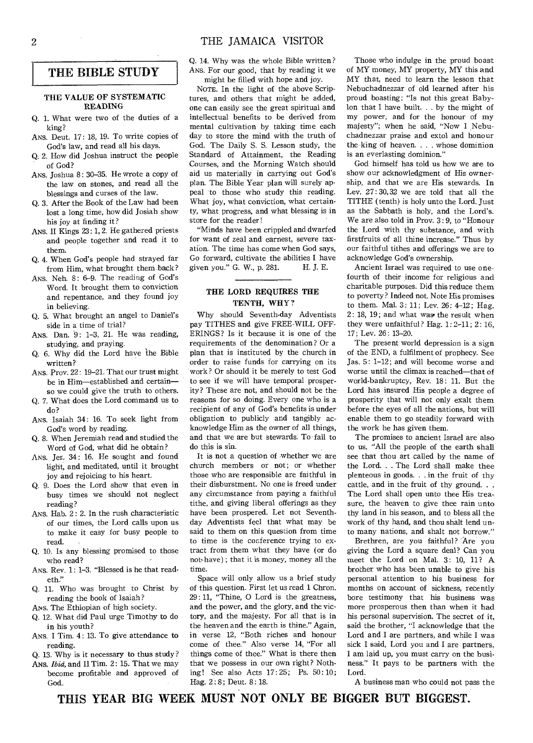# THE BIBLE STUDY

# THE VALUE OF SYSTEMATIC READING

- Q. 1. What were two of the duties of a king?
- ANS. Deut. 17: 18, 19. To write copies of God's law, and read all his days.
- Q. 2. How did Joshua instruct the people of God?
- ANS. Joshua 8:30-35. He wrote a copy of the law on stones, and read all the blessings and curses of the law.
- Q. 3. After the Book of the Law had been lost a long time, how did Josiah show his joy at finding it?
- ANS. II Kings 23: 1, 2. He gathered priests and people together and read it to them.
- Q. 4. When God's people had strayed far from Him, what brought them back?
- ANS. Neh. 8: 6-9. The reading of God's Word. It brought them to conviction and repentance, and they found joy in believing.
- Q. 5. What brought an angel to Daniel's side in a time of trial?
- ANS. Dan. 9: 1-3, 21. He was reading, studying, and praying.
- Q. 6. Why did the Lord have the Bible written?
- ANS. Prov. 22: 19-21. That our trust might be in Him—established and certain so we could give the truth to others.
- Q. 7. What does the Lord command us to do?
- ANS. Isaiah 34: 16. To seek light from God's word by reading.
- Q. 8. When Jeremiah read and studied the Word of God, what did he obtain?
- ANS. Jer. 34: 16. He sought and found light, and meditated, until it brought joy and rejoicing to his heart.
- Q. 9. Does the Lord show that even in busy times we should not neglect reading?
- ANS. Hab. 2 : 2. In the rush characteristic of our times, the Lord calls upon us to make it easy for busy people to read.
- Q. 10. Is any blessing promised to those who read?
- ANS. Rev. 1: 1-3. "Blessed is he that readeth."
- Q. 11. Who was brought to Christ by reading the book of Isaiah?
- ANS. The Ethiopian of high society.
- Q. 12. What did Paul urge Timothy to do in his youth?
- ANs. I Tim. 4: 13. To give attendance to reading.
- Q. 13. Why is it necessary to thus study?
- ANs. *Ibid,* and II Tim. 2: 15. That we may become profitable and approved of God.

Q. 14. Why was the whole Bible written? ANS. For our good, that by reading it we might be filled with hope and joy.

NOTE. In the light of the above Scriptures, and others that might be added, one can easily see the great spiritual and intellectual benefits to be derived from mental cultivation by taking time each day to store the mind with the truth of God. The Daily S. S. Lesson study, the Standard of Attainment, the Reading Courses, and the Morning Watch should aid us materially in carrying out God's plan. The Bible Year plan will surely appeal to those who study this reading. What joy, what conviction, what certainty, what progress, and what blessing is in store for the reader!

"Minds have been crippled and dwarfed for want of zeal and earnest, severe taxation. The time has come when God says, Go forward, cultivate the abilities I have given you." G. W., p. 281. H. J. E.

# THE LORD REQUIRES THE TENTH, WHY ?

Why should Seventh-day Adventists pay TITHES and give FREE-WILL OFF-ERINGS? Is it because it is one of the requirements of the denomination? Or a plan that is instituted by the church in order to raise funds for carrying on its work? Or should it be merely to test God to see if we will have temporal prosperity? These are not, and should not be the reasons for so doing. Every one who is a recipient of any of God's benefits is under obligation to publicly and tangibly acknowledge Him as the owner of all things, and that we are but 'stewards. To fail to do this is sin.

It is not a question of whether we are church members or not; or whether those who are responsible are faithful in their disburstment. No one is freed under any circumstance from paying a faithful tithe, and giving liberal offerings as they have been prospered. Let not Seventhday Adventists feel that what may be said to them on this question from time to time is the conference trying to extract from them what they have (or do not' have) ; that it is money, money all the time.

Space will only allow us a brief study of this question. First let us read 1 Chron. 29: 11, "Thine, 0 Lord is the greatness, and the power, and the glory, and the victory, and the majesty. For all that is in the heaven and the earth is thine." Again, in verse 12, "Both riches and honour come of thee." Also verse 14, "For all things come of thee." What is there then that we possess in our own right? Nothing! See also Acts 17:25; Ps. 50:10; Hag. 2 : 8; Deut. 8 : 18.

Those who indulge in the proud boast of MY money, MY property, MY this and MY that, need to learn the lesson that Nebuchadnezzar of old learned after his proud boasting: "Is not this great Babylon that I have built. . . by the might of my power, and for the honour of my majesty"; when he said, "Now I Nebuchadnezzar praise and extol and honour the king of heaven. . . . whose dominion is an everlasting dominion."

God himself has told us how we are to show our acknowledgment of His ownership, and that we are His stewards. In Lev.  $27:30,32$  we are told that all the TITHE (tenth) is holy unto the Lord. Just as the Sabbath is holy, and the Lord's. We are also told in Prov. 3: 9, to "Honour the Lord with thy substance, and with firstfruits of all thine increase." Thus by our faithful tithes and offerings we are to acknowledge God's ownership.

Ancient Israel was required to use onefourth of their income for religious and charitable purposes. Did this reduce them to poverty? Indeed not. Note His promises to them. Mal. 3: 11; Lev. 26: 4-12; Hag. 2: 18, 19; and what was the result when they were unfaithful? Hag.  $1:2-11$ ;  $2:16$ , 17; Lev. 26 : 13-20.

The present world depression is a sign of the END, a fulfilment of prophecy. See Jas. 5: 1-12; and will become worse and worse until the climax is reached—that of world-bankruptcy, Rev. 18: 11. But the Lord has insured His people a degree of prosperity that will not only exalt them before the eyes of all the nations, but will enable them to go steadily forward with the work he has given them.

The promises to ancient Israel are also to us. "All the people of the earth shall see that thou art called by the name of the Lord. . . The Lord shall make thee plenteous in goods. . . in the fruit of thy cattle, and in the fruit of thy ground.. . The Lord shall open unto thee His treasure, the heaven to give thee rain unto thy land in his season, and to bless all the work of thy hand, and thou shalt lend unto many nations, and shalt not borrow."

Brethren, are you faithful? 'Are you giving the Lord a square deal? Can you meet the Lord on Mal. 3: 10, 11? A brother who has been unable to give his personal attention to his business for months on account of sickness, recently bore testimony that his business was more prosperous then than when it had his personal supervision. The secret of it, said the brother, "I acknowledge that the Lord and I are partners, and while I was sick I said, Lord you and I are partners. I am laid up, you must carry on the business." It pays to be partners with the Lord.

A business man who could not pass the

THIS YEAR BIG WEEK MUST NOT ONLY BE BIGGER BUT BIGGEST.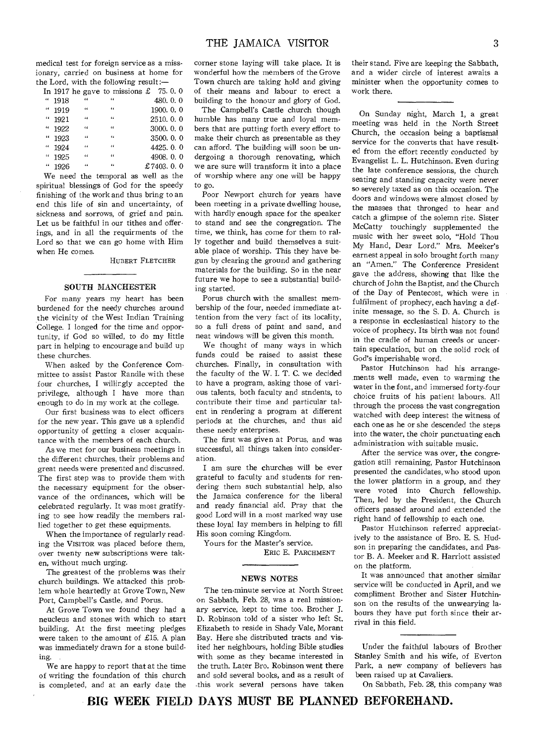medical test for foreign service as a missionary, carried on business at home for the Lord, with the following result:—

|            |        |            | In 1917 he gave to missions $\pounds$ 75.0.0 |            |
|------------|--------|------------|----------------------------------------------|------------|
| $\epsilon$ | 1918   | $\epsilon$ | $\epsilon$                                   | 480, 0, 0  |
|            | " 1919 | $\epsilon$ | 66                                           | 1900. 0. 0 |
|            | " 1921 | $\epsilon$ | $\epsilon$                                   | 2510.0.0   |
| 44         | 1922   | $\epsilon$ | $\epsilon$                                   | 3000.0.0   |
|            | " 1923 | $\epsilon$ | $\epsilon$                                   | 3500, 0, 0 |
| $\epsilon$ | 1924   | $\epsilon$ | $\epsilon$                                   | 4425, 0, 0 |
| $\epsilon$ | 1925   | $\epsilon$ | $\epsilon$                                   | 4908.0.0   |
| 44         | 1926   | $\epsilon$ | 44                                           | £7403.0.0  |
|            |        |            |                                              |            |

We need the temporal as well as the spiritual blessings of God for the speedy finishing of the work and thus bring to an end this life of sin and uncertainty, of sickness and sorrows, of grief and pain. Let us be faithful in our tithes and offerings, and in all the requirments of the Lord so that we can go home with Him when He comes.

HUBERT FLETCHER

#### SOUTH MANCHESTER

For many years my heart has been burdened for the needy churches around the vicinity of the West Indian Training College. I longed for the time and opportunity, if God so willed, to do my little part in helping to encourage and build up these churches.

When asked by the Conference Committee to assist Pastor Randle with these four churches, I willingly accepted the privilege, although I have more than enough to do in my work at the college.

Our first business was to elect officers for the new year. This gave us a splendid opportunity of getting a closer acquaintance with the members of each church.

As we met for our business meetings in the different churches, their problems and great needs were presented and discussed. The first step was to provide them with the necessary equipment for the observance of the ordinances, which will be celebrated regularly. It was most gratifying to see how readily the members rallied together to get these equipments.

When the importance of regularly reading the VISITOR was placed before them, over twenty new subscriptions were taken, without much urging.

The greatest of the problems was their church buildings. We attacked this problem whole heartedly at Grove Town, New Port, Campbell's Castle, and Porus.

At Grove Town we found they had a neucleus and stones with which to start building. At the first meeting pledges were taken to the amount of £15. A plan was immediately drawn for a stone building.

We are happy to report that at the time of writing the foundation of this church is completed, and at an early date the corner stone laying will take place. It is wonderful how the members of the Grove Town church are taking hold and giving of their means and labour to erect a building to the honour and glory of God.

The Campbell's Castle church though humble has many true and loyal members that are putting forth every effort to make their church as presentable as they can afford. The building will soon be undergoing a thorough renovating, which we are sure will transform it into a place of worship where any one will be happy to go.

Poor Newport church for years have been meeting in a private dwelling house, with hardly enough space for the speaker to stand and see the congregation. The time, we think, has come for them to rally together and build themselves a suitable place of worship. This they have begun by clearing the ground and gathering materials for the building. So in the near future we hope to see a substantial building started.

Porus church with the smallest membership of the four, needed immediate attention from the very fact of its locality, so a full dress of paint and sand, and neat windows will be given this month.

We thought of many ways in which funds could be raised to assist these churches. Finally, in consultation with the faculty of the W. I. T. C. we decided to have a program, asking those of various talents, both faculty and stndents, to contribute their time and particular talent in rendering a program at different periods at the churches, and thus aid these needy enterprises.

The first was given at Porus, and was successful, all things taken into consideration.

I am sure the churches will be ever grateful to faculty and students for rendering them such substantial help, also the Jamaica conference for the liberal and ready financial aid. Pray that the good Lord will in a most marked way use these loyal lay members in helping to fill His soon coming Kingdom.

Yours for the Master's service.

ERIC E. PARCHMENT

# NEWS NOTES

The ten-minute service at North Street on Sabbath, Feb. 28, was a real missionary service, kept to time too. Brother J. D. Robinson told of a sister who left St. Elizabeth to reside in Shady Vale, Morant Bay. Here she distributed tracts and visited her neighbours, holding Bible studies with some as they became interested in the truth. Later Bro. Robinson went there and sold several books, and as a result of -this work several persons have taken

their stand. Five are keeping the Sabbath, and a wider circle of interest awaits a minister when the opportunity comes to work there.

On Sunday night, March 1, a great meeting was held in the North Street Church, the occasion being a baptismal service for the converts that have result. ed from the effort recently conducted by Evangelist L. L. Hutchinson. Even during the late conference sessions, the church seating and standing capacity were never so severely taxed as on this occasion. The doors and windows were almost closed by the masses that thronged to hear and catch a glimpse of the solemn rite. Sister McCatty touchingly supplemented the music with her sweet solo, "Hold Thou My Hand, Dear Lord." Mrs. Meeker's earnest appeal in solo brought forth many an "Amen." The Conference President gave the address, showing that like the church of John the Baptist, and the Church of the Day of Pentecost, which were in fulfilment of prophecy, each having a definite message, so the S. D. A. Church is a response in ecclesiastical history to the voice of prophecy. Its birth was not found in the cradle of human creeds or uncertain speculation, but on the solid rock of God's imperishable word.

Pastor Hutchinson had his arrangements well made, even to warming the water in the font, and immersed forty-four choice fruits of his patient labours. All through the process the vast congregation watched with deep interest the witness of each one as he or she descended the steps into the water, the choir punctuating each administration with suitable music.

After the service was over, the congregation still remaining, Pastor Hutchinson presented the candidates, who stood upon the lower platform in a group, and they were voted into Church fellowship. Then, led by the President, the Church officers passed around and extended the right hand of fellowship to each one.

Pastor Hutchinson referred appreciatively to the assistance of Bro. E. S. Hudson in preparing the candidates, and Pastor B. A. Meeker and R. Harriott assisted on the platform.

It was announced that another similar service will be conducted in April, and we compliment Brother and Sister Hutchinson on the results of the unwearying labours they have put forth since their arrival in this field.

Under the faithful labours of Brother Stanley Smith and his wife, of Everton Park, a new company of believers has been raised up at Cavaliers.

On Sabbath, Feb. 28, this company was

BIG WEEK FIELD DAYS MUST BE PLANNED BEFOREHAND.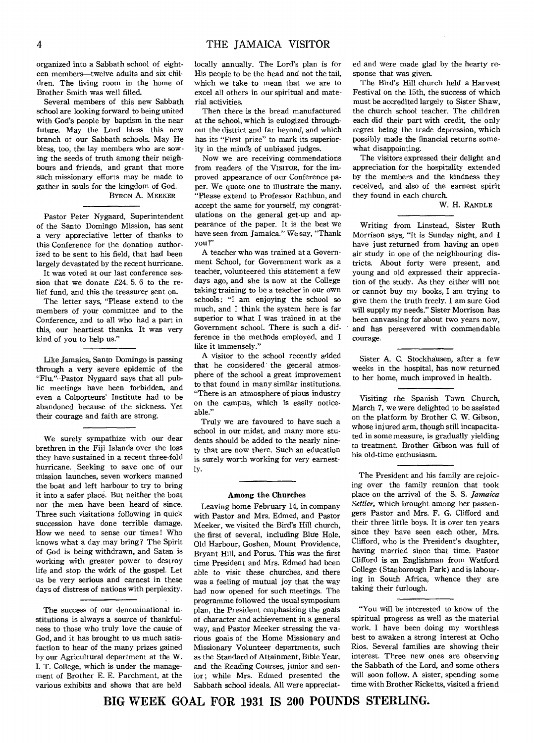organized into a Sabbath school of eighteen members—twelve adults and six children. The living room in the home of Brother Smith was well filled.

Several members of this new Sabbath school are looking forward to being united with God's people by baptism in the near future. May the Lord bless this new branch of our Sabbath schools. May He bless, too, the lay members who are sowing the seeds of truth among their neighbours and friends, and grant that more such missionary efforts may be made to gather in souls for the kingdom of God. BYRON A. MEEKER

Pastor Peter Nygaard, Superintendent of the Santo Domingo Mission, has sent a very appreciative letter of thanks to this Conference for the donation authorized to be sent to his field, that had been largely devastated by the recent hurricane.

It was voted at our last conference session that we donate £24. 5. 6 to the relief fund, and this the treasurer sent on.

The letter says, "Please extend to the members of your committee and to the Conference, and to all who had a part in this, our heartiest thanks. It was very kind of you to help us."

Like Jamaica, Santo Domingo is passing through a very severe epidemic of the "Flu." Pastor Nygaard says that all public meetings have been forbidden, and even a Colporteurs' Institute had to be abandoned because of the sickness. Yet their courage and faith are strong.

We surely sympathize with our dear brethren in the Fiji Islands over the loss they have sustained in a recent three-fold hurricane. Seeking to save one of our mission launches, seven workers manned the boat and left harbour to try to bring it into a safer place. But neither the boat nor the men have been heard of since. Three such visitations following in quick succession have done terrible damage. How we need to sense our times! Who knows what a day may bring? The Spirit of God is being withdrawn, and Satan is working with greater power to destroy life and stop the work of the gospel. Let us be very serious and earnest in these days of distress of nations with perplexity.

The success of our denominational institutions is always a source of thankfulness to those who truly love the cause of God, and it has brought to us much satisfaction to hear of the many prizes gained by our Agricultural department at the W. I. T. College, which is under the management of Brother E. E. Parchment, at the various exhibits and shows that are held

locally annually. The Lord's plan is for His people to be the head and not the tail, which we take to mean that we are to excel all others in our spiritual and material activities.

Then there is the bread manufactured at the school, which is eulogized throughout the district and far beyond, and which has its "First prize" to mark its superiority in the mind's of unbiased judges.

Now we are receiving commendations from readers of the VISITOR, for the improved appearance of our Conference paper. We quote one to illustrate the many. "Please extend to Professor Rathbun, and accept the same for yourself, my congratulations on the general get-up and appearance of the paper. It is the best we have seen from Jamaica." We say, "Thank you!"

A teacher who was trained at a Government School, for Government work as a teacher, volunteered this statement a few days ago, and she is now at the College taking training to be a teacher in our own schools: "I am enjoying the school so much, and I think the system here is far superior to what I was trained in at the Government school. There is such a difference in the methods employed, and I like it immensely."

A visitor to the school recently added that he considered the general atmosphere of the school a great improvement to that found in many similar institutions. "There is an atmosphere of pious industry on the campus, which is easily noticeable."

Truly we are favoured to have such a school in our midst, and many more students should be added to the nearly ninety that are now there. Such an education is surely worth working for very earnestly.

#### Among the Churches

Leaving home February 14, in company with Pastor and Mrs. Edmed, and Pastor Meeker, we visited the Bird's Hill church, the first of several, including Blue Hole, Old Harbour, Goshen, Mount Providence, Bryant Hill, and Porus. This was the first time President and Mrs. Edmed had been able to visit these churches, and there was a feeling of mutual joy that the way had now opened for such meetings. The programme followed the usual symposium plan, the President emphasizing the goals of character and achievement in a general way, and Pastor Meeker stressing the various goals of the Home Missionary and Missionary Volunteer departments, such as the Standard of Attainment, Bible Year, and the Reading Courses, junior and senior ; while Mrs. Edmed presented the Sabbath school ideals. All were appreciated and were made glad by the hearty response that was given.

The Bird's Hill church held a Harvest Festival on the 15th, the success of which must be accredited largely to Sister Shaw, the church school teacher. The children each did their part with credit, the only regret being the trade depression, which possibly made the financial returns somewhat disappointing.

The visitors expressed their delight and appreciation for the hospitality extended by the members and the kindness they received, and also of the earnest spirit they found in each church.

W. H. RANDLE

Writing from Linstead, Sister Ruth Morrison says, "It is Sunday night, and I have just returned from having an open air study in one of the neighbouring districts. About forty were present, and young and old expressed their appreciation of the study. As they either will not or cannot buy my books, I am trying to give them the truth freely. I am sure God will supply my needs." Sister Morrison has been canvassing for about two years now, and has persevered with commendable courage.

Sister A. C. Stockhausen, after a few weeks in the hospital, has now returned to her home, much improved in health.

Visiting the Spanish Town Church, March 7, we were delighted to be assisted on the platform by Brother C. W. Gibson, whose injured arm, though still incapacitated in some measure, is gradually yielding to treatment. Brother Gibson was full of his old-time enthusiasm.

The President and his family are rejoicing over the family reunion that took place on the arrival of the S. S. *Jamaica Settler,* which brought among her passengers Pastor and Mrs. F. G. Clifford and their three little boys. It is over ten years since they have seen each other, Mrs. Clifford, who is the President's daughter, having married since that time. Pastor Clifford is an Englishman from Watford College (Stanborough Park) and is labouring in South Africa, whence they are taking their furlough.

"You will be interested to know of the spiritual progress as well as the material work. I have been doing my worthless best to awaken a strong interest at Ocho Rios. Several families are showing their interest. Three new ones are observing the Sabbath of the Lord, and some others will soon follow. A sister, spending some time with Brother Ricketts, visited a friend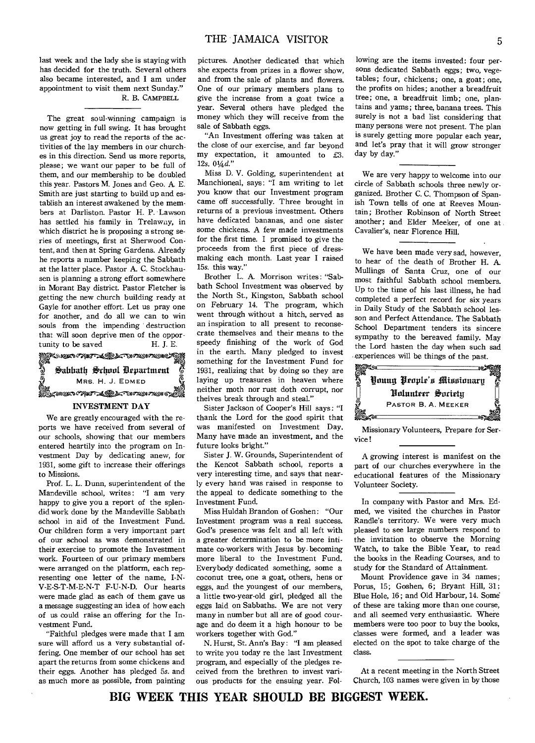last week and the lady she is staying with has decided for the truth. Several others also became interested, and I am under appointment to visit them next Sunday." R. B. CAMPBELL

The great soul-winning campaign is now getting in full swing. It has brought us great joy to read the reports of the activities of the lay members in our churches in this direction. Send us more reports, please; we want our paper to be full of them, and our membership to be doubled this year. Pastors M. Jones and Geo. A. E. Smith are just starting to build up and establish an interest awakened by the members at Darliston. Pastor H. P. Lawson has settled his family in Trelawny, in which district he is proposing a strong series of meetings, first at Sherwood Content, and then at Spring Gardens. Already he reports a number keeping the Sabbath at the latter place. Pastor A. C. Stockhausen is planning a strong effort somewhere in Morant Bay district. Pastor Fletcher is getting the new church building ready at Gayle for another effort. Let us pray one for another, and do all we can to win souls from the impending destruction that will soon deprive men of the opportunity to be saved H. J. E.

# ender exp<del>eries and provincial pro</del> ارہ<br>پارہ Sahhath School Department MRS. **H. J.** E DM ED 0)<br>2020au - Al<del>e Adde,</del> dictor de A

# INVESTMENT DAY

We are greatly encouraged with the reports we have received from several of our schools, showing that our members entered heartily into the program on Investment Day by dedicating anew, for 1931, some gift to increase their offerings to Missions.

Prof. L. L. Dunn, superintendent of the Mandeville school, writes: "I am very happy to give you a report of the splendid work done by the Mandeville Sabbath school in aid of the Investment Fund. Our children form a very important part of our school as was demonstrated in their exercise to promote the Investment work. Fourteen of our primary members were arranged on the platform, each representing one letter of the name, I-N-V-E-S-T-M-E-N-T F-U-N-D. Our hearts were made glad as each of them gave us a message suggesting an idea of how each of us could raise an offering for the Investment Fund.

"Faithful pledges were made that I am sure will afford us a very substantial offering. One member of our school has set apart the returns from some chickens and their eggs. Another has pledged 5s. and as much more as possible, from painting

pictures. Another dedicated that which she expects from prizes in a flower show, and from the sale of plants and flowers. One of our primary members plans to give the increase from a goat twice a year. Several others have pledged the money which they will receive from the sale of Sabbath eggs.

"An Investment offering was taken at the close of our exercise, and far beyond my expectation, it amounted to £3. 12s.  $0\frac{1}{4}d.$ 

Miss D. V. Golding, superintendent at Manchioneal, says: "I am writing to let you know that our Investment program came off successfully. Three brought in returns of a previous investment. Others have dedicated bananas, and one sister some chickens. A few made investments for the first time. I promised to give the proceeds from the first piece of dressmaking each month. Last year I raised 15s. this way."

Brother L. A. Morrison writes : "Sabbath School Investment was observed by the North St., Kingston, Sabbath school on February 14. The program, which went through without a hitch, served as an inspiration to all present to reconsecrate themselves and their means to the speedy finishing of the work of God in the earth. Many pledged to invest something for the Investment Fund for 1931, realizing that by doing so they are laying up treasures in heaven where neither moth nor rust doth corrupt, nor theives break through and steal."

Sister Jackson of Cooper's Hill says: "I thank the Lord for the good spirit that was manifested on Investment Day. Many have made an investment, and the future looks bright."

Sister J. W. Grounds, Superintendent of the Kencot Sabbath school, reports a very interesting time, and says that nearly every hand was raised in response to the appeal to dedicate something to the Investment Fund.

Miss Huldah Brandon of Goshen: "Our Investment program was a real success. God's presence was felt and all left with a greater determination to be more intimate co-workers with Jesus by. becoming more liberal to the Investment Fund. Everybody dedicated something, some a coconut tree, one a goat, others, hens or eggs, and the youngest of our members, a little two-year-old girl, pledged all the eggs laid on Sabbaths. We are not very many in number but all are of good courage and do deem it a high honour to be workers together with God."

N. Hurst, St. Ann's Bay : "I am pleased to write you today re the last Investment program, and especially of the pledges received from the brethren to invest various products for the ensuing year. Fol-

lowing are the items invested: four persons dedicated Sabbath eggs; two, vegetables; four, chickens; one, a goat; one, the profits on hides; another a breadfruit tree; one, a breadfruit limb; one, plantains and yams ; three, banana trees. This surely is not a bad list considering that many persons were not present. The plan is surely getting more popular each year, and let's pray that it will grow stronger day by day.'

We are very happy to welcome into our circle of Sabbath schools three newly organized. Brother C. C. Thompson of Spanish Town tells of one at Reeves Mountain; Brother Robinson of North Street another; and Elder Meeker, of one at Cavalier's, near Florence Hill.

We have been made very sad, however, to hear of the death of Brother H. A. Mullings of Santa Cruz, one of our most faithful Sabbath school members. Up to the time of his last illness, he had completed a perfect record for six years in Daily Study of the Sabbath school lesson and Perfect Attendance. The Sabbath School Department tenders its sincere sympathy to the bereaved family. May the Lord hasten the day when such sad experiences will be things of the past.



Missionary Volunteers, Prepare for Service!

A growing interest is manifest on the part of our churches everywhere in the educational features of the Missionary Volunteer Society.

In company with. Pastor and Mrs. Edmed, we visited the churches in Pastor Randle's territory. We were very much pleased to see large numbers respond to the invitation to observe the Morning Watch, to take the Bible Year, to read the books in the Reading Courses, and to study for the Standard of Attainment.

Mount Providence gave in 34 names; Porus, 15; Goshen, 6; Bryant Hill, 31; Blue Hole, 16 ; and Old Harbour, 14. Some of these are taking more than one course, and all seemed very enthusiastic. Where members were too poor to buy the books, classes were formed, and a leader was elected on the spot to take charge of the class.

At a recent meeting in the North Street Church, 103 names were given in by those

**BIG WEEK THIS YEAR SHOULD BE BIGGEST WEEK.**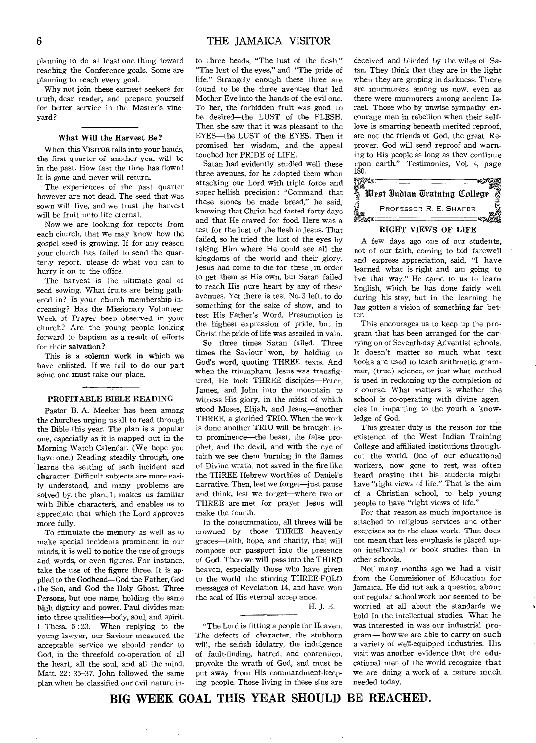planning to do at least one thing toward reaching the Conference goals. Some are planning to reach every goal.

Why not join these earnest seekers for truth, dear reader, and prepare yourself for better service in the Master's vineyard?

# What Will the Harvest Be?

When this VISITOR falls into your hands, the first quarter of another year will be in the past. How fast the time has flown! It is gone and never will return.

The experiences of the past quarter however are not dead. The seed that was sown will live, and we trust the harvest will be fruit unto life eternal.

Now we are looking for reports from each church, that we may know how the gospel seed is growing. If for any reason your church has failed to send the quarterly report, please do what you can to hurry it on to the office.

The harvest is the ultimate goal of seed sowing. What fruits are being gathered in? Is your church membership increasing? Has the Missionary Volunteer Week of Prayer been observed in your church? Are the young people looking forward to baptism as a result of efforts for their salvation?

This is a solemn work in which we have enlisted. If we fail to do our part some one must take our place.

#### PROFITABLE BIBLE READING

Pastor B. A. Meeker has been among the churches urging us all to read through the Bible this year. The plan is a popular one, especially as it is mapped out in the Morning Watch Calendar. (We hope you have one.) Reading steadily through, one learns the setting of each incident and character. Difficult subjects are more easily understood, and many problems are solved by. the plan.. It makes us familiar with Bible characters, and enables us to appreciate that which the Lord approves more fully.

To stimulate the memory as well as to make special incidents prominent in our minds, it is well to notice the use of groups and words, or even figures. For instance, take the use of the figure three. It is applied to the Godhead—God the Father, God the Son, and God the Holy Ghost. Three Persons, but one name, holding the same high dignity and power. Paul divides man into three qualities—body, soul, and spirit. I Thess. 5 :23. When replying to the young lawyer, our Saviour measured the acceptable service we should render to God, in the threefold co-operation of all the heart, all the soul, and all the mind. Matt. 22: 35-37. John followed the same plan when he classified our evil nature into three heads, "The lust of the flesh," "The lust of the eyes," and "The pride of life." Strangely enough these three are found to be the three avenues that led Mother Eve into the hands of the evil one. To her, the forbidden fruit was good to be desired—the LUST of the FLESH. Then she saw that it was pleasant to the EYES—the LUST of the EYES. Then it promised her wisdom, and the appeal touched her PRIDE of LIFE.

Satan had evidently studied well these three avenues, for he adopted them when attacking our Lord with triple force and super-hellish precision : "Command that these stones be made bread," he said, knowing that Christ had fasted forty days and that He craved for food. Here was a test for the lust of the flesh in Jesus. That failed, so he tried the lust of the eyes by taking Him where He could see all the kingdoms of the world and their glory. Jesus had come to die for these in order to get them as His own, but Satan failed to reach His pure heart by any of these avenues. Yet there is test No. 3 left, to do something for the sake of show, and to test His Father's Word. Presumption is the highest expression of pride, but in Christ the pride of life was assailed in vain.

So three times Satan failed. Three times the Saviour won, by holding to God's word, quoting THREE texts. And when the triumphant Jesus was transfigured, He took THREE disciples—Peter, James, and John into the mountain to witness His glory, in the midst of which stood Moses, Elijah, and Jesus,—another THREE, a glorified TRIO. When the work is done another TRIO will be brought into prominence—the beast, the false prophet, and the devil, and with the eye of faith we see them burning in the flames of Divine wrath, not saved in the fire like the THREE Hebrew worthies of Daniel's narrative. Then, lest we forget—just pause and think, lest we forget—where two or THREE are met for prayer Jesus will make the fourth.

In the consummation, all threes will be crowned by those THREE heavenly graces—faith, hope, and charity, that will compose our passport into the presence of God. Then we will pass into the THIRD heaven, especially those who have given to the world the stirring THREE-FOLD messages of Revelation 14, and have won the seal of His eternal acceptance.

H. J. E.

"The Lord is fitting a people for Heaven. The defects of character, the stubborn will, the selfish idolatry, the indulgence of fault-finding, hatred, and contention, provoke the wrath of God, and must be put away from His commandment-keeping people. Those living in these sins are

deceived and blinded by the wiles of Satan. They think that they are in the light when they are groping in darkness. There are murmurers among us now, even as there were murmurers among ancient Israel. Those who by unwise sympathy encourage men in rebellion when their selflove is smarting beneath merited reproof, are not the friends of God, the great Reprover. God will send reproof and warning to His people as long as they continue upon earth." Testimonies, Vol. 4, page 180.



# RIGHT VIEWS OF LIFE

A few days ago one of our students, not of our faith, coming to bid farewell and express appreciation, said, "I have learned what is right and am going to live that way." He came to us to learn English, which he has done fairly well during his stay, but in the learning he has gotten a vision of something far better.

This encourages us to keep up the program that has been arranged for the carrying on of Seventh-day Adventist schools. It doesn't matter so much what text books are used to teach arithmetic, grammar, (true) science, or just what method is used in reckoning up the completion of a course. What matters is whether the school is co-operating with divine agencies in imparting to the youth a knowledge of God.

This greater duty is the reason for the existence of the West Indian Training College and affiliated institutions throughout the world. One of our educational workers, now gone to rest, was often heard praying that his students might have "right views of life." That is the aim of a Christian school, to help young people to have "right views of life."

For that reason as much importance is attached to religious services and other exercises as to the class work. That does not mean that less emphasis is placed upon intellectual or book studies than in other schools.

Not many months ago we had a visit from the Commisioner of Education for Jamaica. He did not ask a question about our regular school work nor seemed to be worried at all about the standards we hold in the intellectual studies. What he was interested in was our industrial program— how we are able to carry on such a variety of well-equipped industries. His visit was another evidence that the educational men of the world recognize that we are doing a work of a nature much needed today.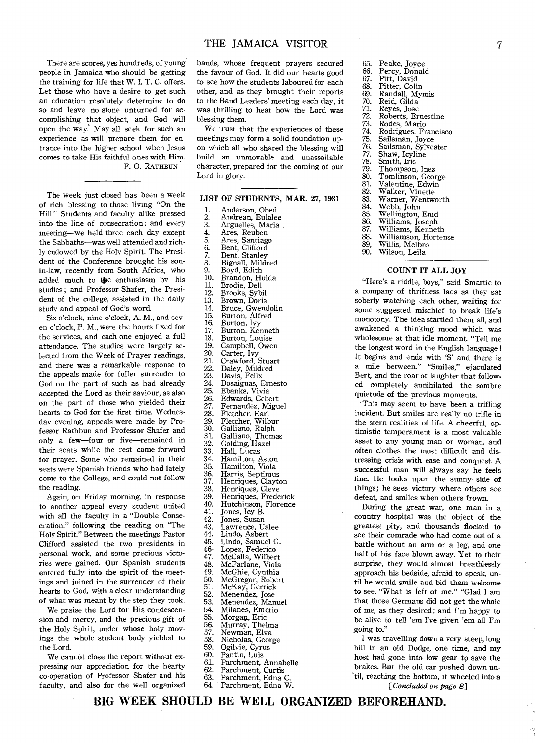There are scores, yes hundreds, of young people in Jamaica who should be getting the training for life that W. I. T. C. offers. Let those who have a desire to get such an education resolutely determine to do so and leave no stone unturned for accomplishing that object, and God will open the way: May all seek for such an experience as will prepare them for entrance into the higher school when Jesus comes to take His faithful ones with Him. F. 0. RATHBUN

The week just closed has been a week of rich blessing to those living "On the Hill." Students and faculty alike pressed into the line of consecration; and every meeting-we held three each day except the Sabbaths-was well attended and richly endowed by the Holy Spirit. The President of the Conference brought his sonin-law, recently from South Africa, who added much to the enthusiasm by his studies ; and Professor Shafer, the President of the college, assisted in the daily study and appeal of God's word.

Six o'clock, nine o'clock, A. M., and seven o'clock, P. M., were the hours fixed for the services, and each one enjoyed a full attendance. The studies were largely selected from the Week of Prayer readings, and there was a remarkable response to the appeals made for fuller surrender to God on the part of such as had already accepted the Lord as their saviour, as also on the part of those who yielded their hearts to God for the first time. Wednesday evening, appeals were made by Professor Rathbun and Professor Shafer and only a few-four or five-remained in their seats while the rest came forward for prayer. Some who remained in their seats were Spanish friends who had lately come to the College, and could not follow the reading.

Again, on Friday morning, in response to another appeal every student united with all the faculty in a "Double Consecration," following the reading on "The Holy Spirit." Between the meetings Pastor Clifford assisted the two presidents in personal work, and some precious victories were gained. Our Spanish students entered fully into the spirit of the meetings and joined in the surrender of their hearts to God, with a clear understanding of what was meant by the step they took.

We praise the Lord for His condescension and mercy, and the precious gift of the Holy Spirit, under whose holy movings the whole student body yielded to the Lord.

We cannot close the report without expressing our appreciation for the hearty co-operation of Professor Shafer and his faculty, and also for the well organized bands, whose frequent prayers secured the favour of God. It did our hearts good to see how the students laboured for each other, and as they brought their reports to the Band Leaders' meeting each day, it was thrilling to hear how the Lord was blessing them.

We trust that the experiences of these meetings may form a solid foundation upon which all who shared the blessing will build an unmovable and unassailable character, prepared for the coming of our Lord in glory.

# **LIST OF STUDENTS, MAR. 27, 1931**

1. Anderson, Obed<br>2. Andrean, Eulale 2. Andrean, Eulalee<br>3. Arguelles, Maria 3. Arguelles, Maria 4. Ares, Reuben 5. Ares, Santiago 6. Bent, Clifford<br>7. Bent, Stanley<br>8. Bignall, Mildı Bent, Stanley 8. Bignall, Mildred 9. Boyd, Edith 10. Brandon, Hulda<br>11. Brodie, Dell 11. Brodie, Dell<br>12. Brooks, Syb 12. Brooks, Sybil 13. Brown, Doris 14. Bruce, Gwendolin<br>15. Burton, Alfred 15. Burton, Alfred<br>16. Burton, Ivy 16. Burton, Ivy<br>17. Burton, Ke 17. Burton, Kenneth<br>18. Burton, Louise 18. Burton, Louise<br>19 Campbell Owe 19. Campbell, Owen<br>20. Carter, Ivy 20. Carter, Ivy<br>21. Crawford. 21. Crawford, Stuart<br>22. Daley Mildred 22. Daley, Mildred<br>23 Davis Felix 23. Davis, Felix 24. Dosaiguas, Ernesto 25. Ebanks, Vivia<br>26. Edwards, Ceb 26. Edwards, Cebert<br>27. Fernandez, Migu 27. Fernandez, Miguel<br>28. Fletcher. Earl 28. Fletcher, Earl 29. Fletcher, Wilbur 30. Galliano, Ralph 31. Galliano, Thomas 32. Golding, Hazel 33. Hall, Lucas<br>34. Hamilton, A 34. Hamilton, Aston 35. Hamilton, Viola 36. Harris, Septimus<br>37. Henriques, Clayte 37. Henriques, Clayton 38. Henriques, Cleve 39. Henriques, Frederick<br>40. Hutchinson, Florence 40. Hutchinson, Florence<br>41. Iones. Icy B. 41. Jones, Icy B.<br>42. Iones, Susan 42. Jones, Susan<br>43. Lawrence U 43. Lawrence, Ualee<br>44. Lindo, Asbert 44. Lindo, Asbert<br>45. Lindo, Samuel 45. Lindo, Samuel G. 46- Lopez, Federico<br>47. McCalla, Wilber 47. McCalla, Wilbert<br>48. McFarlane, Viola 48. McFarlane, Viola 49. McGhie, Cynthia<br>50. McGregor, Rober 50. McGregor, Robert<br>51. McKay, Gerrick 51. McKay, Gerrick<br>52. Menendez, Jose 52. Menendez, Jose 53. Menendez, Manuel 54. Milanes, Emerio 55. Morgan, Eric<br>56. Murray, Thelma 57. Newman, Elva<br>58. Nicholas, Geor 58. Nicholas, George 59. Ogilvie, Cyrus 60. Pantin, Luis<br>61. Parchment. 61. Parchment, Annabelle<br>62. Parchment, Curtis 62. Parchment, Curtis 63. Parchment, Edna C. 64. Parchment, Edna W.

65. Peake, Joyce

- 66. Percy, Donald
- 67. Pitt, David
- 68. Pitter, Colin<br>69. Randall, My
- 69. Randall, Mymis
- 70. Reid, Gilda
- 71. Reyes, Jose
- 72. Roberts, Ernestine
	- 73. Rodes, Mario
	- 74. Rodrigues, Francisco
- 75. Sailsman, Joyce
- 76. Sailsman, Sylvester
- 77. Shaw, Icyline 78. Smith, Iris
- 
- 79. Thompson, Inez<br>80. Tomlinson, Geor
- 80. Tomlinson, George<br>81. Valentine. Edwin
- 81. Valentine, Edwin 82. Walker, Vinette
- 83. Warner, Wentworth 84. Webb, John
- 
- 85. Wellington, Enid<br>86. Williams Joseph
- 86. Williams, Joseph<br>87 Williams Kennet
- 87. Williams, Kenneth<br>88. Williamson Horter
- 88. Williamson, Hortense<br>89. Willis, Melbro
- 89, Willis, Melbro<br>90 Wilson Leila Wilson, Leila
	-

# **COUNT IT ALL JOY**

"Here's a riddle, boys," said Smartie to a company of thriftless lads as they sat soberly watching each other, waiting for some suggested mischief to break life's monotony. The idea startled them all, and awakened a thinking mood which was wholesome at that idle moment. "Tell me the longest word in the English language ! It begins and ends with 'S' and there is a mile between." "Smiles," ejaculated Bert, and the roar of laughter that followed completely annihilated the sombre quietude of the previous moments.

This may seem to have been a trifling incident. But smiles are really no trifle in the stern realities of life. A cheerful, optimistic temperament is a most valuable asset to any young man or woman, and often clothes the most difficult and distressing crisis with ease and conquest. A successful man will always say he feels fine. He looks upon the sunny side of things; he sees victory where others see defeat, and smiles when others frown.

During the great war, one man in a country hospital was the object of the greatest pity, and thousands flocked to see their comrade who had come out of a battle without an arm or a leg, and one half of his face blown away. Yet to their surprise, they would almost breathlessly approach his bedside, afraid to speak, until he would smile and bid them welcome to see, "What is left of me." "Glad I am that those Germans did not get the whole of me, as they desired; and I'm happy to be alive to tell 'em I've given 'em all I'm going to."

I was travelling down a very steep, long hill in an old Dodge, one time, and my host had gone into low gear **to** save the brakes. But the old car pushed down un- 'fil, reaching the bottom, it wheeled into a

*[Concluded on page 8]* 

**BIG WEEK SHOULD BE WELL ORGANIZED BEFOREHAND.**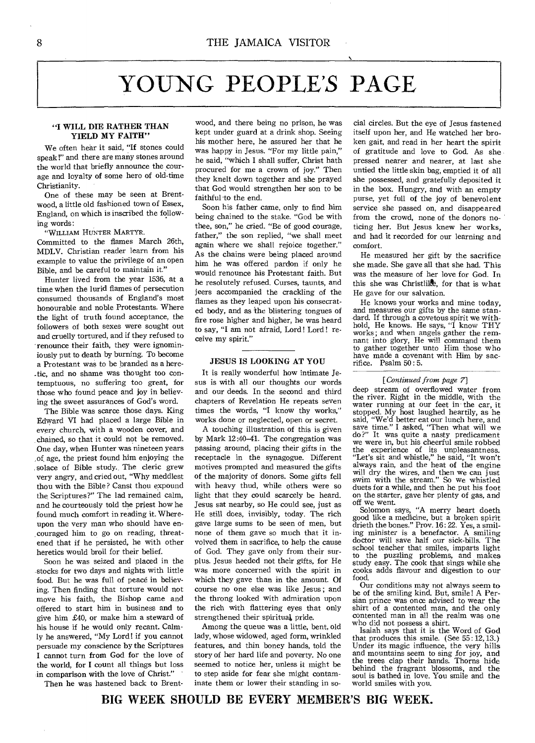<u>،</u>

# YOUNG PEOPLE'S PAGE

# "I WILL DIE RATHER THAN YIELD MY FAITH"

We often hear it said, "If stones could speak !" and there are many stones around the world that briefly announce the courage and loyalty of some hero of old-time Christianity.

One of these may be seen at Brentwood, a little old fashioned town of Essex, England, on which is inscribed the following words:

"WILLIAM HUNTER MARTYR.

Committed to the flames March 26th, MDLV. Christian reader learn from his example to value the privilege of an open Bible, and be careful to maintain it."

Hunter lived from the year 1536, at a time when the lurid flames of persecution consumed thousands of England's most honourable and noble Protestants. Where the light of truth found acceptance, the followers of both sexes were sought out and cruelly tortured, and if they refused to 'renounce their faith, they were ignominiously put to death by burning. To become a Protestant was to be branded as a here- -tic, and no shame was thought too contemptuous, no suffering too great, for those who found peace and joy in believing the sweet assurances of God's word.

The Bible was scarce those days. King Edward VI had placed a large Bible in every church, with a wooden cover, and chained, so that it could not be removed. One day, when Hunter was nineteen years ,of age, the priest found him enjoying the solace of Bible study. The cleric grew very angry, and cried out, "Why meddlest thou with the Bible? Canst thou expound the Scriptures?" The lad remained calm, and he courteously told the priest how he found much comfort in reading it. Whereupon the very man who should have encouraged him to go on reading, threatened that if he persisted, he with other heretics would broil for their belief.

Soon he was seized and placed in the stocks for two days and nights with little food. But he was full of peace in believing. Then finding that torture would not move his faith, the Bishop came and offered to start him in business and to give him £40, or make him a steward of his house if he would only recant. Calmly he answered, "My Lord! if you cannot persuade my conscience by the Scriptures I cannot turn from God for the love of the world, for I count all things but loss in comparison with the love of Christ." '

Then he was hastened back to Brent-

wood, and there being no prison, he was kept under guard at a drink shop. Seeing his mother here, he assured her that he was happy in Jesus. "For my little pain," he said, "which I shall suffer, Christ hath procured for me a crown of joy." Then they knelt down together and she prayed that God would strengthen her son to be faithful to the end.

Soon his father came, only to find him being chained to the stake. "God be with thee, son," he cried. "Be of good courage, father," the son replied, "we shall meet again where we shall rejoice together." As the chains were being placed around him he was offered pardon if only he would renounce his Protestant faith. But he resolutely refused. Curses, taunts, and jeers accompanied the crackling of the flames as they leaped upon his consecrated body, and as the blistering tongues of fire rose higher and higher, he was heard to say, "I am not afraid, Lord ! Lord ! receive my spirit."

## JESUS IS LOOKING AT YOU

It is really wonderful how intimate Jesus is with all our thoughts our words and our deeds. In the second and third chapters of Revelation He repeats seven times the words, "I know thy works," works done or neglected, open or secret.

A touching illustration of this is given by Mark 12:40-41. The congregation was passing around, placing their gifts in the receptacle in the synagogue. Different motives prompted and measured the gifts of the majority of donors. Some gifts fell with heavy thud, while others were so light that they could scarcely be heard. Jesus sat nearby, so He could see, just as He still does, invisibly, today. The rich gave large sums to be seen of men, but none of them gave so much that it involved them in sacrifice, to help the cause of God. They gave only from their surplus. Jesus heeded not their gifts, for He was more concerned with the spirit in which they gave than in the amount. Of course no one else was like Jesus ; and the throng looked with admiration upon the rich with flattering eyes that only strengthened their spiritual, pride.

Among the queue was a little, bent, old lady, whose widowed, aged form, wrinkled features, and thin honey hands, told the story of her hard life and poverty. No one seemed to notice her, unless it might be to step aside for fear she might contaminate them or lower their standing in so-

cial circles. But the eye of Jesus fastened itself upon her, and He watched her broken gait, and read in her heart the spirit of gratitude and love to God. As she pressed nearer and nearer, at last she untied the little skin bag, emptied it of all she possessed, and gratefully deposited it in the box. Hungry, and with an empty purse, yet full of the joy of benevolent service she passed on, and disappeared from the crowd, none of the donors noticing her. But Jesus knew her works, and had it recorded for our learning and comfort.

He measured her gift by the sacrifice she made. She gave all that she had. This was the measure of her love for God. In this she was Christlike, for that is what He gave for our salvation.

He knows your works and mine today, and measures our gifts by the same standard. If through a covetous spirit we withhold, He knows. He says, "I know THY works; and when angels gather the remnant into glory, He will command them to gather together unto Him those who have made a covenant with Him by sacrifice. Psalm 50:5. Psalm  $50 : 5$ .

#### *[Continued from page 7]*

deep stream of overflowed water from the river. Right in the middle, with the water running at our feet in the car, it stopped. My host laughed heartily, as he said, "We'd better eat our lunch here, and save time." I asked, "Then what will we do ?" It was quite a nasty predicament we were in, but his cheerful smile robbed the experience of its unpleasantness. "Let's sit and whistle," he said, "It won't always rain, and the heat of the engine will dry the wires, and then we can just swim with the stream." So we whistled duets for a while, and then he put his foot on the starter, gave her plenty of gas, and off we went.

Solomon says, "A merry heart doeth good like a medicine, but a broken spirit drieth the bones." Prov. 16: 22. Yes, a smiling minister is a benefactor. A smiling doctor will save half our sick-bills. The school teacher that smiles, imparts light to the puzzling problems, and makes study easy. The cook that sings while she cooks adds flavour and digestion to our food.

Our conditions may not always seem to be of the smiling kind. But, smile! A Persian prince was once advised to wear the shirt of a contented man, and the only contented man in all the realm was one who did not possess a shirt.

Isaiah says that it is the Word of God that produces this smile. (See 55: 12,13.) Under its magic influence, the very hills and mountains seem to sing for joy, and the trees clap their hands. Thorns hide behind the fragrant blossoms, and the soul is bathed in love. You smile and the world smiles with you.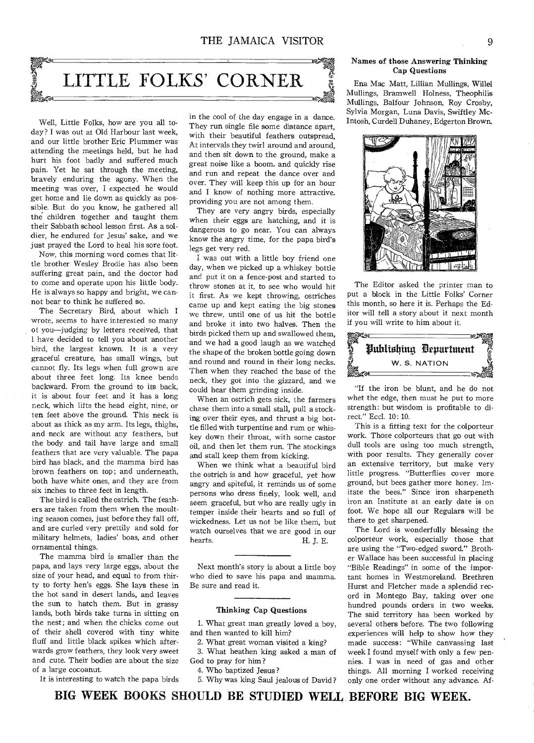LITTLE FOLKS' CORNER

Well, Little Folks, how are you all today? I was out at Old Harbour last week, and our little brother Eric Plummer was attending the meetings held, but he had hurt his foot badly and suffered much pain. Yet he sat through the meeting, bravely enduring the agony. When the meeting was over, I expected he would get home and lie down as quickly as possible. But do you know, he gathered all the children together and taught them their Sabbath school lesson first. As a soldier, he endured for Jesus' sake, and we just prayed the Lord to heal his sore foot.

Now, this morning word comes that little brother Wesley Brodie has also been suffering great pain, and the doctor had to come and operate upon his little body. He is always so happy and bright, we cannot bear to think he suffered so.

The Secretary Bird, about which I wrote, seems to have interested so many of you—judging by letters received, that I have decided to tell you about another bird, the largest known. It is a very graceful creature, has small wings, but cannot fly. Its legs when full grown are about three feet long. Its knee bends backward. From the ground to its back, it is about four feet and it has a long neck, which lifts the head eight, nine, or ten feet above the ground. This neck is about as thick as my arm. Its legs, thighs, and neck are without any feathers, but the body and tail have large and small feathers that are very valuable. The papa bird has black, and the mamma bird has brown feathers on top; and underneath, both have white ones, and they are from six inches to three feet in length.

The bird is called the ostrich. The feathers are taken from them when the moulting season comes, just before they fall off, and are curled very prettily and sold for military helmets, ladies' boas, and other ornamental things.

The mamma bird is smaller than the papa, and lays very large eggs, about the size of your head, and equal to from thirty to forty hen's eggs. She lays these in the hot sand in desert lands, and leaves the sun to hatch them. But in grassy lands, both birds take turns in sitting on the nest; and when the chicks come out of their shell covered with tiny white fluff and little black spikes which afterwards grow feathers, they look very sweet and cute. Their bodies are about the size of a large cocoanut.

It is interesting to watch the papa birds

in the cool of the day engage in a dance. They run single file some distance apart, with their beautiful feathers outspread, At intervals they twirl around and around, and then sit down to the ground, make a great noise like a boom. and quickly rise and run and repeat the dance over and over. They will keep this up for an hour and I know of nothing more attractive. providing you are not among them.

A

They are very angry birds, especially when their eggs are hatching, and it is dangerous to go near. You can always know the angry time, for the papa bird's legs get very red.

I was out with a little boy friend one day, when we picked up a whiskey bottle and put it on a fence-post and started to throw stones at it, to see who would hit it first. As we kept throwing, ostriches came up and kept eating the big stones we threw, until one of us hit the bottle and broke it into two halves. Then the birds picked them up and swallowed them, and we had a good laugh as we watched the shape of the broken bottle going down and round and round in their long necks. Then when they reached the base of the neck, they got into the gizzard, and we could hear them grinding inside.

When an ostrich gets sick, the farmers chase them into a small stall, pull a stocking over their eyes, and thrust a big bottle filled with turpentine and rum or whiskey down their throat, with some castor oil, and then let them run. The stockings and stall keep them from kicking.

When we think what a beautiful bird the ostrich is and how graceful, yet how angry and spiteful, it reminds us of some persons who dress finely, look well, and seem graceful, but who are really ugly in temper inside their hearts and so full of wickedness. Let us not be like theni, but watch ourselves that we are good in our hearts. H. I. E. H. J. E.

Next month's story is about a little boy who died to save his papa and mamma. Be sure and read it.

## Thinking Cap Questions

1. What great man greatly loved a boy, and then wanted to kill him?

2. What great woman visited a king?

3. What heathen king asked a man of God to pray for him ?

- 4. Who baptized Jesus ?
- 5. Why was king Saul jealous of David ?

## Names of those Answering Thinking Cap Questions

Ena Mac Matt, Lillian Mullings, Willel Mullings, Bramwell Holness, Theophilis Mullings, Balfour Johnson, Roy Crosby, Sylvia Morgan, Luna Davis, Swiftley Mc-Intosh, Curdell Duhaney, Edgerton Brown.



The Editor asked the printer man to put a block in the Little Folks' Corner this month, so here it is. Perhaps the Editor will tell a story about it next month if you will write to him about it.



"If the iron be blunt, and he do not whet the edge, then must he put to more strength: but wisdom is profitable to direct." Eccl. 10: 10.

This is a fitting text for the colporteur work. Those colporteurs that go out with dull tools are using too much strength, with poor results. They generally cover an extensive territory, but make very little progress. "Butterflies cover more ground, but bees gather more honey. Imitate the bees." Since iron sharpeneth iron an Institute at an early date is on foot. We hope all our Regulars will be there to get sharpened.

The Lord is wonderfully blessing the colporteur work, especially those that are using the "Two-edged sword." Brother Wallace has been successful in placing "Bible Readings" in some of the important homes in Westmoreland. Brethren Hurst and Fletcher made a splendid record in Montego Bay, taking over one hundred pounds orders in two weeks. The said territory has been worked by several others before. The two following experiences will help to show how they made success: "While canvassing last week I found myself with only a few pennies. I was in need of gas and other things. All morning I worked receiving only one order without any advance. Af-

BIG WEEK BOOKS SHOULD BE STUDIED WELL BEFORE BIG WEEK.